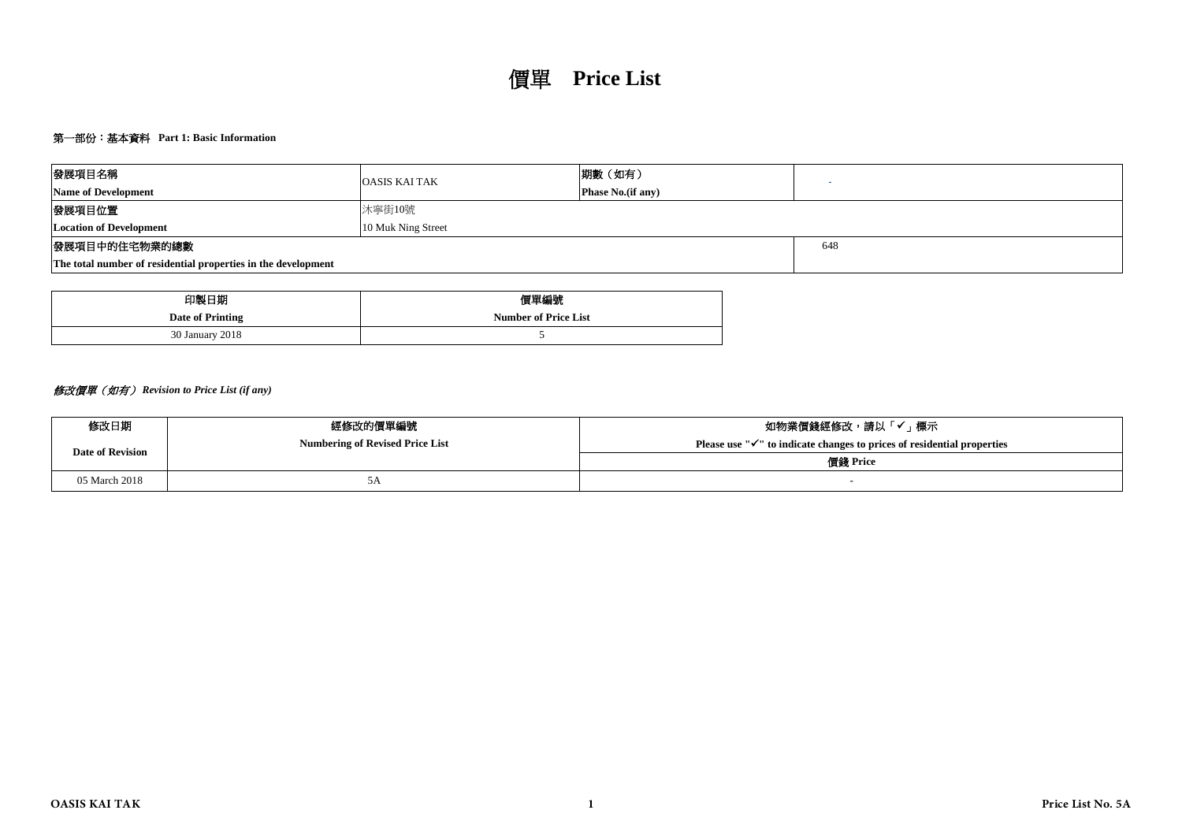# 第一部份:基本資料 **Part 1: Basic Information**

| 發展項目名稱                                                        | <b>OASIS KAI TAK</b> | 期數 (如有)                   |  |  |  |  |  |  |  |
|---------------------------------------------------------------|----------------------|---------------------------|--|--|--|--|--|--|--|
| <b>Name of Development</b>                                    |                      | <b>Phase No.</b> (if any) |  |  |  |  |  |  |  |
| 發展項目位置                                                        | 沐寧街10號               |                           |  |  |  |  |  |  |  |
| <b>Location of Development</b>                                | 10 Muk Ning Street   |                           |  |  |  |  |  |  |  |
| 發展項目中的住宅物業的總數                                                 | 648                  |                           |  |  |  |  |  |  |  |
| The total number of residential properties in the development |                      |                           |  |  |  |  |  |  |  |

| 印製日期             | 價單編號                        |  |  |  |  |  |  |
|------------------|-----------------------------|--|--|--|--|--|--|
| Date of Printing | <b>Number of Price List</b> |  |  |  |  |  |  |
| 30 January 2018  |                             |  |  |  |  |  |  |

# 修改價單(如有) *Revision to Price List (if any)*

| 修改日期                    | 經修改的價單編號                               | 如物業價錢經修改,請以「✔」標示                                                                    |  |  |  |  |  |  |
|-------------------------|----------------------------------------|-------------------------------------------------------------------------------------|--|--|--|--|--|--|
| <b>Date of Revision</b> | <b>Numbering of Revised Price List</b> | Please use " $\checkmark$ " to indicate changes to prices of residential properties |  |  |  |  |  |  |
|                         |                                        | 價錢 Price                                                                            |  |  |  |  |  |  |
| 05 March 2018           | ЭA                                     |                                                                                     |  |  |  |  |  |  |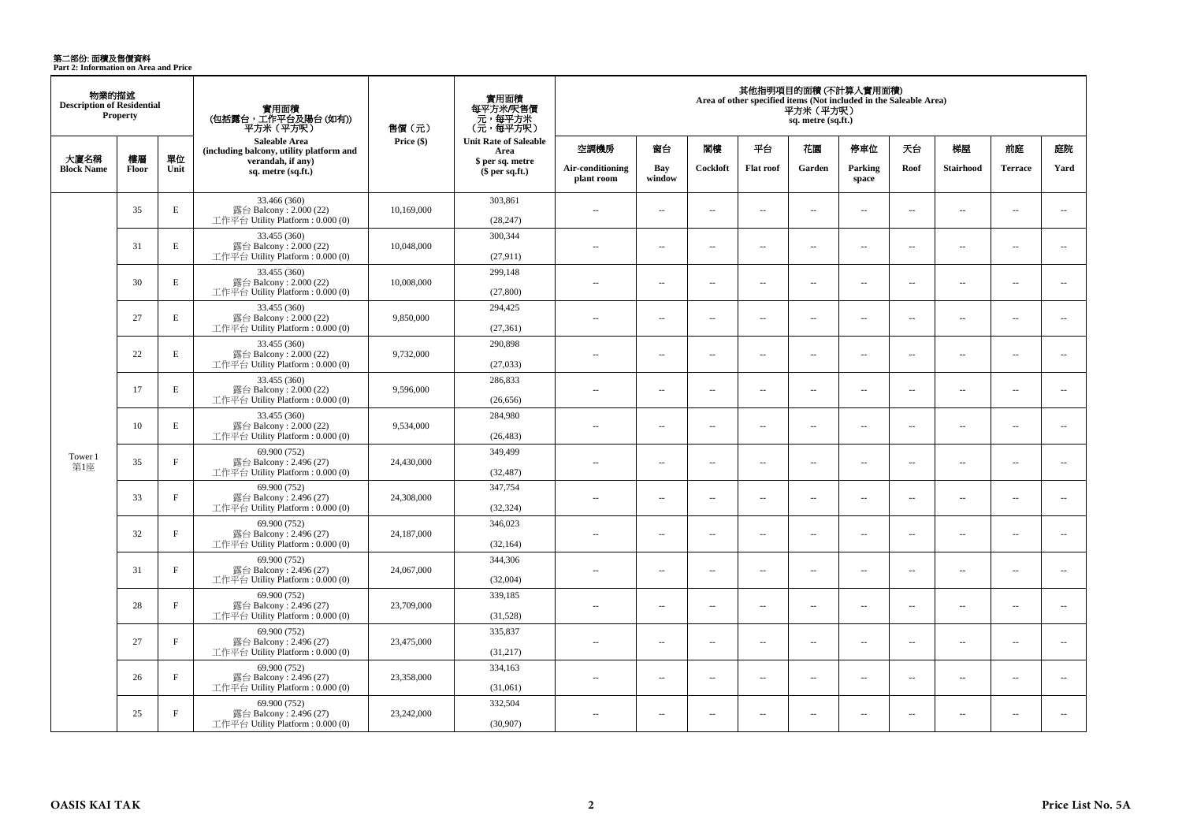**第二部份: 面積及售價資料**<br>Part 2: Information on Area and Price

| 物業的描述<br><b>Description of Residential</b> | <b>Property</b>    |              | 實用面積<br>(包括露台,工作平台及陽台(如有))<br>平方米 (平方呎)                                      | 售價 (元)     | 實用面積<br>每平方米/呎售價<br>元,每平方米<br>(元・每平方呎) | 其他指明項目的面積 (不計算入實用面積)<br>Area of other specified items (Not included in the Saleable Area)<br>平方米(平方呎)<br>sq. metre (sq.ft.) |                          |                          |                          |                          |                          |                          |                          |                          |                          |
|--------------------------------------------|--------------------|--------------|------------------------------------------------------------------------------|------------|----------------------------------------|-----------------------------------------------------------------------------------------------------------------------------|--------------------------|--------------------------|--------------------------|--------------------------|--------------------------|--------------------------|--------------------------|--------------------------|--------------------------|
|                                            |                    |              | <b>Saleable Area</b><br>(including balcony, utility platform and             | Price (\$) | <b>Unit Rate of Saleable</b><br>Area   | 空調機房                                                                                                                        | 窗台                       | 閣樓                       | 平台                       | 花園                       | 停車位                      | 天台                       | 梯屋                       | 前庭                       | 庭院                       |
| 大廈名稱<br><b>Block Name</b>                  | 樓層<br><b>Floor</b> | 單位<br>Unit   | verandah, if any)<br>sq. metre (sq.ft.)                                      |            | \$ per sq. metre<br>\$per sq.ft.)      | Air-conditioning<br>plant room                                                                                              | Bav<br>window            | Cockloft                 | <b>Flat roof</b>         | Garden                   | Parking<br>space         | Roof                     | <b>Stairhood</b>         | <b>Terrace</b>           | Yard                     |
|                                            | 35                 | E            | 33.466 (360)<br>露台 Balcony: 2.000 (22)<br>工作平台 Utility Platform: 0.000 (0)   | 10,169,000 | 303,861<br>(28, 247)                   | $\overline{a}$                                                                                                              | $\sim$                   | $\sim$                   | μ.                       | μ.                       | $\sim$                   | $\overline{\phantom{a}}$ | ÷.                       | $\overline{\phantom{a}}$ | $\overline{\phantom{a}}$ |
|                                            | 31                 | E            | 33.455 (360)<br>露台 Balcony: 2.000 (22)<br>工作平台 Utility Platform: 0.000 (0)   | 10,048,000 | 300,344<br>(27, 911)                   | $\overline{a}$                                                                                                              | $\sim$                   | $\sim$                   | μ.                       | μ.                       | $\sim$                   | $\overline{\phantom{a}}$ | ÷.                       | $\sim$                   | $\overline{\phantom{a}}$ |
|                                            | 30                 | E            | 33.455 (360)<br>露台 Balcony: 2.000 (22)<br>工作平台 Utility Platform: 0.000 (0)   | 10,008,000 | 299,148<br>(27, 800)                   | $\sim$                                                                                                                      | $\sim$                   | $\sim$                   | $\sim$                   | $\overline{a}$           | $\sim$                   | $\overline{\phantom{a}}$ | $\sim$                   | $\overline{\phantom{a}}$ | $\overline{\phantom{a}}$ |
|                                            | 27                 | E            | 33.455 (360)<br>露台 Balcony: 2.000 (22)<br>工作平台 Utility Platform: 0.000 (0)   | 9,850,000  | 294,425<br>(27, 361)                   | $\sim$                                                                                                                      | $\overline{a}$           | $\sim$                   | $\overline{a}$           | $\sim$                   | $\sim$                   | $\overline{\phantom{a}}$ | $\sim$                   | $\overline{a}$           | $\sim$                   |
|                                            | 22                 | E            | 33.455 (360)<br>露台 Balcony: 2.000 (22)<br>工作平台 Utility Platform: 0.000 (0)   | 9,732,000  | 290,898<br>(27,033)                    | $\overline{a}$                                                                                                              | $\sim$                   | $\sim$                   | μ.                       | $\overline{a}$           | $\sim$                   | $\overline{\phantom{a}}$ | $\sim$                   | $\overline{a}$           | $\overline{\phantom{a}}$ |
|                                            | 17                 | $\mathbf E$  | 33.455 (360)<br>露台 Balcony: 2.000 (22)<br>工作平台 Utility Platform: 0.000 (0)   | 9,596,000  | 286,833<br>(26, 656)                   | $\sim$ $\sim$                                                                                                               | $\overline{\phantom{a}}$ | $\sim$                   | $\overline{\phantom{a}}$ | $\sim$                   | $\sim$                   | $\sim$                   | $\sim$                   | $\overline{a}$           | $\sim$                   |
|                                            | 10                 | $\mathbf E$  | 33.455 (360)<br>露台 Balcony: 2.000 (22)<br>工作平台 Utility Platform : 0.000 (0)  | 9,534,000  | 284,980<br>(26, 483)                   | $\sim$                                                                                                                      | $\sim$                   | $\sim$                   | $\sim$                   | $\overline{a}$           | $\sim$                   | $\overline{\phantom{a}}$ | $\sim$                   | $\overline{a}$           | $\overline{\phantom{a}}$ |
| Tower 1<br>第1座                             | 35                 | $\rm F$      | 69.900 (752)<br>露台 Balcony: 2.496 (27)<br>工作平台 Utility Platform: 0.000 (0)   | 24,430,000 | 349,499<br>(32, 487)                   | $-$                                                                                                                         | $\sim$                   | $\sim$                   | $\sim$                   | μ.                       | $\sim$                   | $\overline{\phantom{a}}$ | $\sim$                   | $\overline{\phantom{a}}$ | $\overline{\phantom{a}}$ |
|                                            | 33                 | $\mathbf{F}$ | 69.900 (752)<br>露台 Balcony: 2.496 (27)<br>工作平台 Utility Platform : $0.000(0)$ | 24,308,000 | 347,754<br>(32, 324)                   | $\sim$                                                                                                                      | $\overline{\phantom{a}}$ | $\sim$                   | $\sim$                   | $\overline{a}$           | $\sim$                   | $\overline{\phantom{a}}$ | $\sim$                   | $\sim$                   | $\overline{\phantom{a}}$ |
|                                            | 32                 | $\rm F$      | 69.900 (752)<br>露台 Balcony: 2.496 (27)<br>工作平台 Utility Platform : 0.000 (0)  | 24,187,000 | 346,023<br>(32, 164)                   | $\overline{\phantom{a}}$                                                                                                    | $\sim$                   | $\overline{\phantom{a}}$ | $\overline{\phantom{a}}$ | $\overline{\phantom{a}}$ | $\sim$                   | $\overline{\phantom{a}}$ | $\overline{\phantom{a}}$ | $\overline{\phantom{a}}$ | $\overline{\phantom{a}}$ |
|                                            | 31                 | $\mathbf F$  | 69.900 (752)<br>露台 Balcony: 2.496 (27)<br>工作平台 Utility Platform : $0.000(0)$ | 24,067,000 | 344,306<br>(32,004)                    | $\overline{a}$                                                                                                              | $\sim$                   | $\sim$                   | $\sim$                   | $\overline{a}$           | $\sim$                   | $\overline{\phantom{a}}$ | $\sim$                   | $\sim$                   | $\sim$                   |
|                                            | 28                 | $\rm F$      | 69,900 (752)<br>露台 Balcony: 2.496 (27)<br>工作平台 Utility Platform: 0.000 (0)   | 23,709,000 | 339,185<br>(31,528)                    | $\overline{a}$                                                                                                              | $\overline{\phantom{a}}$ | $\sim$                   | $\overline{a}$           | $\overline{\phantom{a}}$ | $\overline{\phantom{a}}$ | $\overline{\phantom{a}}$ | $\overline{\phantom{a}}$ | $\overline{\phantom{a}}$ | $\overline{\phantom{a}}$ |
|                                            | 27                 | $\mathbf{F}$ | 69.900 (752)<br>露台 Balcony: 2.496 (27)<br>工作平台 Utility Platform : $0.000(0)$ | 23,475,000 | 335,837<br>(31,217)                    | $\sim$                                                                                                                      | $\sim$ $\sim$            | $\sim$                   | $\sim$                   | $\sim$                   | $\sim$                   | $\sim$                   | $\sim$                   | $\overline{a}$           | $\sim$                   |
|                                            | 26                 | $\mathbf{F}$ | 69.900 (752)<br>露台 Balcony: 2.496 (27)<br>工作平台 Utility Platform : 0.000 (0)  | 23,358,000 | 334,163<br>(31,061)                    | $\overline{a}$                                                                                                              | $\overline{\phantom{a}}$ | $\sim$                   | $\overline{a}$           | $\overline{\phantom{a}}$ | $\overline{\phantom{a}}$ | $\sim$                   | ÷.                       | $\overline{\phantom{a}}$ | $\overline{\phantom{a}}$ |
|                                            | 25                 | $\mathbf{F}$ | 69.900 (752)<br>露台 Balcony: 2.496 (27)<br>工作平台 Utility Platform: 0.000 (0)   | 23,242,000 | 332,504<br>(30,907)                    | $-$                                                                                                                         | $\sim$                   | $\sim$                   | $\sim$                   | $\overline{a}$           | $\sim$                   | $\sim$                   | $\sim$                   | $\sim$                   | $\sim$                   |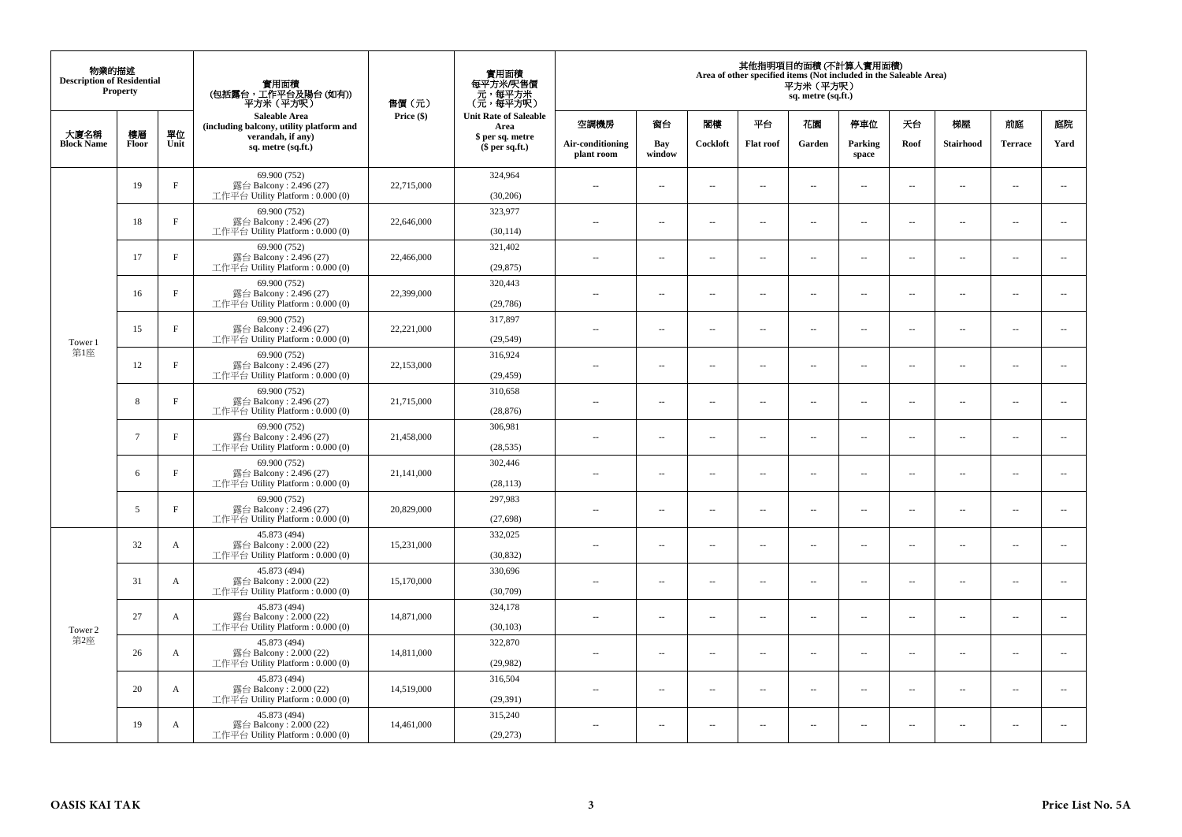| 物業的描述<br><b>Description of Residential</b> | <b>Property</b> |              | 實用面積<br>(包括露台,工作平台及陽台(如有))<br>平方米 (平方呎)                                      | 售價(元)      | 實用面積<br>每平方米/呎售價<br>- 元, 每平方米<br>(元, 每平方呎) | 其他指明項目的面積 (不計算入實用面積)<br>Area of other specified items (Not included in the Saleable Area)<br>平方米(平方呎)<br>sq. metre (sq.ft.) |                                     |                                |                          |                          |                          |                          |                          |        |                          |                |      |
|--------------------------------------------|-----------------|--------------|------------------------------------------------------------------------------|------------|--------------------------------------------|-----------------------------------------------------------------------------------------------------------------------------|-------------------------------------|--------------------------------|--------------------------|--------------------------|--------------------------|--------------------------|--------------------------|--------|--------------------------|----------------|------|
|                                            |                 |              | <b>Saleable Area</b><br>(including balcony, utility platform and             | Price (\$) | <b>Unit Rate of Saleable</b><br>Area       | 空調機房                                                                                                                        | 窗台                                  | 閣樓                             | 平台                       | 花園                       | 停車位                      | 天台                       | 梯屋                       | 前庭     | 庭院                       |                |      |
| 大廈名稱<br><b>Block Name</b>                  | 樓層<br>Floor     | 單位<br>Unit   | verandah, if any)<br>sq. metre (sq.ft.)                                      |            |                                            |                                                                                                                             | \$ per sq. metre<br>$$$ per sq.ft.) | Air-conditioning<br>plant room | Bay<br>window            | Cockloft                 | <b>Flat roof</b>         | Garden                   | Parking<br>space         | Roof   | Stairhood                | <b>Terrace</b> | Yard |
|                                            | 19              | $\rm F$      | 69.900 (752)<br>露台 Balcony: $2.496(27)$<br>工作平台 Utility Platform: 0.000 (0)  | 22,715,000 | 324,964<br>(30, 206)                       | $\sim$ $\sim$                                                                                                               | $\overline{\phantom{a}}$            | ÷.                             | $\sim$                   | μ.                       | $\sim$                   | $\overline{\phantom{a}}$ | $\overline{\phantom{a}}$ | $\sim$ | $\sim$                   |                |      |
|                                            | 18              | $_{\rm F}$   | 69.900 (752)<br>露台 Balcony: 2.496 (27)<br>工作平台 Utility Platform : $0.000(0)$ | 22,646,000 | 323,977<br>(30, 114)                       | $\sim$                                                                                                                      | $\sim$                              | ÷.                             | $\sim$                   | μ.                       | $\sim$                   | $\sim$                   | $\overline{\phantom{a}}$ | $\sim$ | $\sim$                   |                |      |
|                                            | 17              | $_{\rm F}$   | 69.900 (752)<br>露台 Balcony: 2.496 (27)<br>工作平台 Utility Platform : $0.000(0)$ | 22,466,000 | 321,402<br>(29, 875)                       | $-$                                                                                                                         | ÷.                                  | $\sim$                         | $\sim$                   | μ.                       | $\sim$                   | $\overline{\phantom{a}}$ | $\overline{\phantom{a}}$ | $\sim$ | $\overline{\phantom{a}}$ |                |      |
|                                            | 16              | $\rm F$      | 69.900 (752)<br>露台 Balcony: 2.496 (27)<br>工作平台 Utility Platform: 0.000 (0)   | 22,399,000 | 320,443<br>(29,786)                        | $\sim$                                                                                                                      | $\overline{\phantom{a}}$            | $\sim$                         | $\sim$                   | $\sim$                   | $\sim$                   | $\sim$                   | $\sim$                   | $\sim$ | $\sim$                   |                |      |
| Tower 1                                    | 15              | $\rm F$      | 69.900 (752)<br>露台 Balcony: 2.496 (27)<br>工作平台 Utility Platform: 0.000 (0)   | 22,221,000 | 317,897<br>(29, 549)                       |                                                                                                                             | $\sim$                              | 4                              | $\sim$                   | μ.                       | $\sim$                   | $\sim$                   | $\overline{\phantom{a}}$ | $\sim$ | $\sim$                   |                |      |
| 第1座                                        | 12              | $_{\rm F}$   | 69.900 (752)<br>露台 Balcony: 2.496 (27)<br>工作平台 Utility Platform: 0.000 (0)   | 22,153,000 | 316,924<br>(29, 459)                       | $\sim$                                                                                                                      | $\sim$                              | $\sim$                         | $\sim$                   | $\overline{a}$           | $\sim$                   | $\sim$                   | $\overline{\phantom{a}}$ | $\sim$ | $\sim$                   |                |      |
|                                            | 8               | $_{\rm F}$   | 69.900 (752)<br>露台 Balcony: 2.496 (27)<br>工作平台 Utility Platform : $0.000(0)$ | 21,715,000 | 310,658<br>(28, 876)                       | $\sim$                                                                                                                      | $\overline{\phantom{a}}$            | $\overline{\phantom{a}}$       | $\sim$                   | ۰.                       | $\sim$                   | $\overline{\phantom{a}}$ | ۰.                       | $\sim$ | $\overline{\phantom{a}}$ |                |      |
|                                            | $7\overline{ }$ | $\mathbf{F}$ | 69.900 (752)<br>露台 Balcony: 2.496 (27)<br>工作平台 Utility Platform: 0.000 (0)   | 21,458,000 | 306,981<br>(28, 535)                       | $\sim$                                                                                                                      | $\sim$                              | $\sim$                         | $\sim$                   | $\overline{a}$           | $\sim$                   | $\sim$                   | $\sim$                   | $\sim$ | $\sim$                   |                |      |
|                                            | 6               | $_{\rm F}$   | 69.900 (752)<br>露台 Balcony: 2.496 (27)<br>工作平台 Utility Platform: 0.000 (0)   | 21,141,000 | 302,446<br>(28, 113)                       | $\overline{\phantom{a}}$                                                                                                    | $\sim$                              | $\sim$                         | $\sim$                   | μ.                       | $\sim$                   | $\overline{\phantom{a}}$ | $\overline{\phantom{a}}$ | $\sim$ | $\overline{\phantom{a}}$ |                |      |
|                                            | 5               | $_{\rm F}$   | 69.900 (752)<br>露台 Balcony: 2.496 (27)<br>工作平台 Utility Platform: 0.000 (0)   | 20,829,000 | 297,983<br>(27, 698)                       | $\overline{a}$                                                                                                              | $\sim$                              | ÷.                             | $\sim$                   | μ.                       | $\sim$                   | $\sim$                   | $\overline{\phantom{a}}$ | $\sim$ | $\sim$                   |                |      |
|                                            | 32              | $\mathbf{A}$ | 45.873 (494)<br>露台 Balcony: 2.000 (22)<br>工作平台 Utility Platform: 0.000 (0)   | 15,231,000 | 332,025<br>(30, 832)                       | $-$                                                                                                                         | ÷.                                  | $\sim$                         | $\sim$                   | $\overline{a}$           | $\sim$                   | $\overline{\phantom{a}}$ | $\overline{\phantom{a}}$ | $\sim$ | $\sim$                   |                |      |
|                                            | 31              | $\mathbf{A}$ | 45.873 (494)<br>露台 Balcony: 2.000 (22)<br>工作平台 Utility Platform: 0.000 (0)   | 15,170,000 | 330,696<br>(30,709)                        | $\sim$                                                                                                                      | $\sim$                              | $\sim$                         | $\sim$                   | $\overline{a}$           | $\sim$                   | $\sim$                   | $\sim$                   | $\sim$ | $\sim$                   |                |      |
| Tower 2                                    | 27              | $\mathbf{A}$ | 45.873 (494)<br>露台 Balcony: 2.000 (22)<br>工作平台 Utility Platform : 0.000 (0)  | 14,871,000 | 324,178<br>(30, 103)                       | $\overline{\phantom{a}}$                                                                                                    | $\sim$                              | $\overline{\phantom{a}}$       | $\sim$                   | μ.                       | $\sim$                   | $\sim$                   | $\overline{\phantom{a}}$ | $\sim$ | $\sim$                   |                |      |
| 第2座                                        | 26              | A            | 45.873 (494)<br>露台 Balcony: 2.000 (22)<br>工作平台 Utility Platform : $0.000(0)$ | 14,811,000 | 322,870<br>(29,982)                        | $\overline{a}$                                                                                                              | $\overline{\phantom{a}}$            | $\sim$                         | $\sim$                   | $\overline{a}$           | $\sim$                   | $\sim$                   | $\overline{\phantom{a}}$ | $\sim$ | $\sim$                   |                |      |
|                                            | 20              | A            | 45.873 (494)<br>露台 Balcony: 2.000 (22)<br>工作平台 Utility Platform : $0.000(0)$ | 14.519.000 | 316,504<br>(29, 391)                       | $-$                                                                                                                         | $\sim$                              | $\sim$                         | $\sim$                   | ۰.                       | $\sim$                   | $\overline{\phantom{a}}$ | $\overline{\phantom{a}}$ | $\sim$ | $\sim$                   |                |      |
|                                            | 19              | A            | 45.873 (494)<br>露台 Balcony: 2.000 (22)<br>工作平台 Utility Platform: 0.000 (0)   | 14,461,000 | 315,240<br>(29, 273)                       | ٠.                                                                                                                          | $\overline{\phantom{a}}$            | $\ddotsc$                      | $\overline{\phantom{a}}$ | $\overline{\phantom{a}}$ | $\overline{\phantom{a}}$ | $\overline{\phantom{a}}$ | $\overline{\phantom{a}}$ | $\sim$ | $\sim$                   |                |      |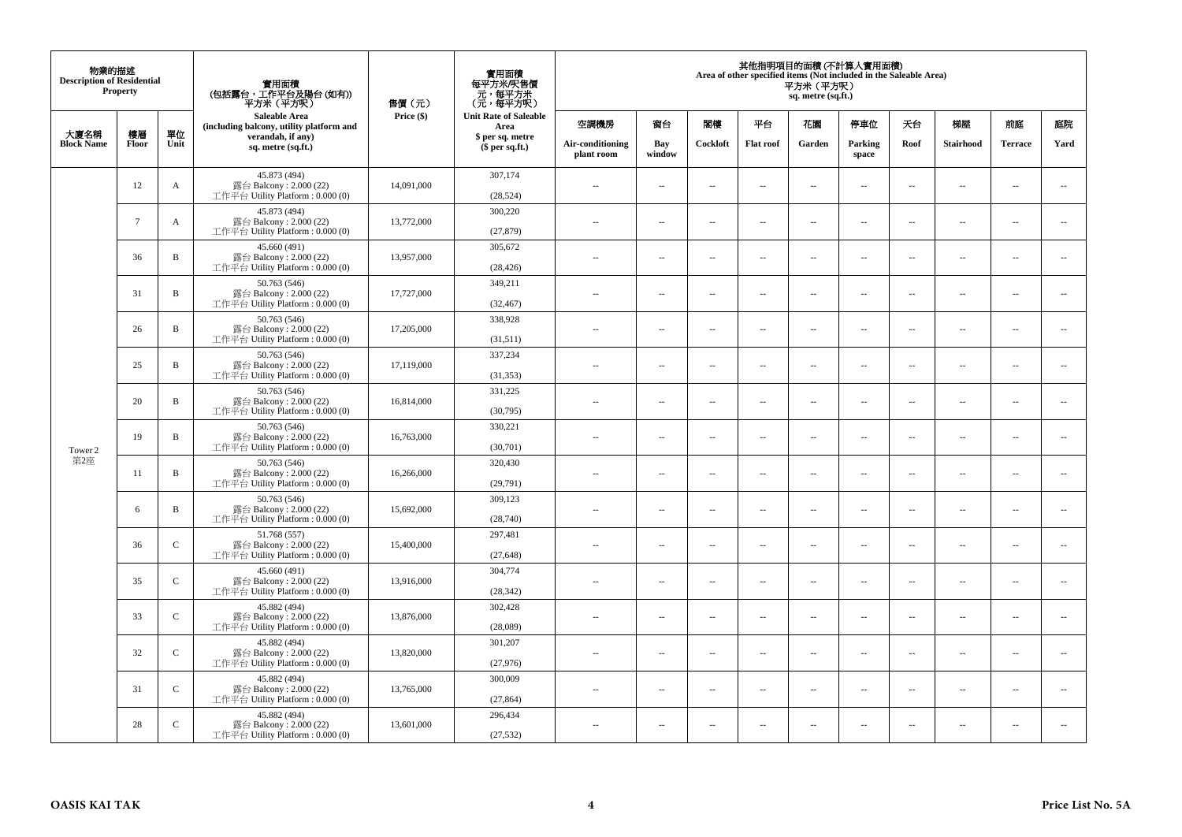| 物業的描述<br><b>Description of Residential</b><br>Property |             |               | 實用面積<br>(包括露台,工作平台及陽台(如有))<br>平方米 (平方呎)                                      | 售價(元)      | 實用面積<br>每平方米/呎售價<br>元,每平方米<br>(元,每平方呎) | 其他指明項目的面積 (不計算入實用面積)<br>Area of other specified items (Not included in the Saleable Area)<br>平方米 (平方呎)<br>sq. metre (sq.ft.) |                          |          |                          |                          |                  |                          |                          |                          |                          |
|--------------------------------------------------------|-------------|---------------|------------------------------------------------------------------------------|------------|----------------------------------------|------------------------------------------------------------------------------------------------------------------------------|--------------------------|----------|--------------------------|--------------------------|------------------|--------------------------|--------------------------|--------------------------|--------------------------|
|                                                        |             |               | Saleable Area<br>(including balcony, utility platform and                    | Price (\$) | <b>Unit Rate of Saleable</b><br>Area   | 空調機房                                                                                                                         | 窗台                       | 閣樓       | 平台                       | 花園                       | 停車位              | 天台                       | 梯屋                       | 前庭                       | 庭院                       |
| 大廈名稱<br><b>Block Name</b>                              | 樓層<br>Floor | 單位<br>Unit    | verandah, if any)<br>sq. metre (sq.ft.)                                      |            | \$ per sq. metre<br>$$$ per sq.ft.)    | Air-conditioning<br>plant room                                                                                               | Bay<br>window            | Cockloft | <b>Flat roof</b>         | Garden                   | Parking<br>space | Roof                     | Stairhood                | <b>Terrace</b>           | Yard                     |
|                                                        | 12          | A             | 45.873 (494)<br>露台 Balcony: 2.000 (22)<br>工作平台 Utility Platform: 0.000 (0)   | 14,091,000 | 307,174<br>(28, 524)                   | $\sim$                                                                                                                       | μ.                       | $\sim$   | $\overline{\phantom{a}}$ | $\overline{\phantom{a}}$ | $\sim$           | $\overline{\phantom{a}}$ | $\cdots$                 | $\sim$                   | $\overline{\phantom{a}}$ |
|                                                        | $\tau$      | A             | 45.873 (494)<br>露台 Balcony: 2.000 (22)<br>工作平台 Utility Platform: 0.000 (0)   | 13,772,000 | 300,220<br>(27, 879)                   | $\sim$                                                                                                                       | $\sim$                   | $\sim$   | $\sim$                   | $\overline{a}$           | $\sim$           | $\overline{\phantom{a}}$ | $\overline{\phantom{a}}$ | $\overline{\phantom{a}}$ | $\sim$                   |
|                                                        | 36          | $\mathbf B$   | 45.660 (491)<br>露台 Balcony: 2.000 (22)<br>工作平台 Utility Platform : $0.000(0)$ | 13,957,000 | 305,672<br>(28, 426)                   | ÷.                                                                                                                           | ш.                       | $\sim$   | $\sim$                   | $\ldots$                 | $\sim$           | $\overline{\phantom{a}}$ | $\overline{\phantom{a}}$ | $\overline{\phantom{a}}$ | $\overline{\phantom{a}}$ |
|                                                        | 31          | $\, {\bf B}$  | 50.763 (546)<br>露台 Balcony: 2.000 (22)<br>工作平台 Utility Platform : 0.000 (0)  | 17,727,000 | 349,211<br>(32, 467)                   | $-$                                                                                                                          | $\sim$                   | $\sim$   | $\sim$                   | $\sim$                   | $\sim$           | $\overline{\phantom{a}}$ | $\sim$                   | $\sim$                   | $\overline{\phantom{a}}$ |
|                                                        | 26          | $\, {\bf B}$  | 50.763 (546)<br>露台 Balcony: 2.000 (22)<br>工作平台 Utility Platform: 0.000 (0)   | 17,205,000 | 338,928<br>(31,511)                    | ٠.                                                                                                                           | $\overline{\phantom{a}}$ | $\sim$   | $\overline{\phantom{a}}$ | $\overline{\phantom{a}}$ | $\sim$           | $\overline{\phantom{a}}$ | $\overline{\phantom{a}}$ | $\sim$                   | $\sim$                   |
|                                                        | 25          | $\, {\bf B}$  | 50.763 (546)<br>露台 Balcony: 2.000 (22)<br>工作平台 Utility Platform: 0.000 (0)   | 17,119,000 | 337,234<br>(31, 353)                   | $\sim$                                                                                                                       | $\overline{a}$           | $\sim$   | $\sim$                   | $\sim$                   | $\sim$           | $\sim$                   | $\sim$                   | $\sim$                   | $\sim$                   |
|                                                        | 20          | $\mathbf B$   | 50.763 (546)<br>露台 Balcony: 2.000 (22)<br>工作平台 Utility Platform : 0.000 (0)  | 16,814,000 | 331,225<br>(30,795)                    | $\sim$ $\sim$                                                                                                                | ш.                       | $\sim$   | $\sim$                   | $\overline{\phantom{a}}$ | $\sim$           | $\overline{\phantom{a}}$ | $\overline{\phantom{a}}$ | $\bar{a}$                | $\overline{\phantom{a}}$ |
| Tower 2                                                | 19          | $\, {\bf B}$  | 50.763 (546)<br>露台 Balcony: 2.000 (22)<br>工作平台 Utility Platform : 0.000 (0)  | 16,763,000 | 330,221<br>(30,701)                    | $\sim$ $\sim$                                                                                                                | $\sim$                   | $\sim$   | $\sim$                   | $\overline{a}$           | $\sim$           | $\sim$                   | $\sim$                   | $\sim$                   | $\sim$                   |
| 第2座                                                    | 11          | $\, {\bf B}$  | 50.763 (546)<br>露台 Balcony: $2.000(22)$<br>工作平台 Utility Platform : 0.000 (0) | 16,266,000 | 320,430<br>(29,791)                    | ٠.                                                                                                                           | ш.                       | $\sim$   | $\sim$                   | μ.                       | $\sim$           | $\sim$                   | $\overline{\phantom{a}}$ | $\bar{a}$                | $\sim$                   |
|                                                        | 6           | $\, {\bf B}$  | 50.763 (546)<br>露台 Balcony: 2.000 (22)<br>工作平台 Utility Platform: 0.000 (0)   | 15,692,000 | 309,123<br>(28,740)                    | $\sim$                                                                                                                       | $\overline{a}$           | $\sim$   | $\sim$                   | $\overline{a}$           | $\sim$           | $\overline{\phantom{a}}$ | $\overline{\phantom{a}}$ | $\sim$                   | $\overline{\phantom{a}}$ |
|                                                        | 36          | $\mathbf C$   | 51.768 (557)<br>露台 Balcony: 2.000 (22)<br>工作平台 Utility Platform : $0.000(0)$ | 15,400,000 | 297,481<br>(27, 648)                   |                                                                                                                              | ш.                       | $\sim$   | $\sim$                   | Ξ.                       | $\sim$           | $\overline{\phantom{a}}$ | $\overline{\phantom{a}}$ | $\overline{\phantom{a}}$ | $\overline{\phantom{a}}$ |
|                                                        | 35          | $\mathsf{C}$  | 45.660 (491)<br>露台 Balcony: 2.000 (22)<br>工作平台 Utility Platform : 0.000 (0)  | 13,916,000 | 304,774<br>(28, 342)                   | $-$                                                                                                                          | $\sim$                   | $\sim$   | $\sim$                   | $\sim$                   | $\sim$           | $\sim$                   | $\sim$                   | $\sim$                   | $\sim$                   |
|                                                        | 33          | $\mathsf C$   | 45.882 (494)<br>露台 Balcony: 2.000 (22)<br>工作平台 Utility Platform : 0.000 (0)  | 13,876,000 | 302,428<br>(28,089)                    | $\overline{a}$                                                                                                               | μ.                       | $\sim$   | $\sim$                   | $\overline{\phantom{a}}$ | $\sim$           | $\overline{\phantom{a}}$ | $\overline{\phantom{a}}$ | $\bar{a}$                | $\sim$                   |
|                                                        | 32          | $\mathsf{C}$  | 45.882 (494)<br>露台 Balcony: 2.000 (22)<br>工作平台 Utility Platform : 0.000 (0)  | 13,820,000 | 301,207<br>(27,976)                    | $\sim$                                                                                                                       | $\sim$                   | $\sim$   | $\sim$                   | $\sim$                   | $\sim$           | $\sim$                   | $\sim$                   | $\sim$                   | $\sim$                   |
|                                                        | 31          | $\mathcal{C}$ | 45.882 (494)<br>露台 Balcony: 2.000 (22)<br>工作平台 Utility Platform : $0.000(0)$ | 13,765,000 | 300,009<br>(27, 864)                   | $\sim$ $\sim$                                                                                                                | μ.                       | $\sim$   | $\sim$                   | $\overline{\phantom{a}}$ | $\sim$           | $\overline{\phantom{a}}$ | $\overline{\phantom{a}}$ | $\sim$                   | $\overline{\phantom{a}}$ |
|                                                        | 28          | $\mathsf{C}$  | 45.882 (494)<br>露台 Balcony: 2.000 (22)<br>工作平台 Utility Platform: 0.000 (0)   | 13,601,000 | 296,434<br>(27, 532)                   | $\sim$                                                                                                                       | $\sim$                   | $\sim$   | $\sim$                   | $\sim$                   | $\sim$           | $\sim$                   | $\sim$                   | $\sim$                   | $\sim$                   |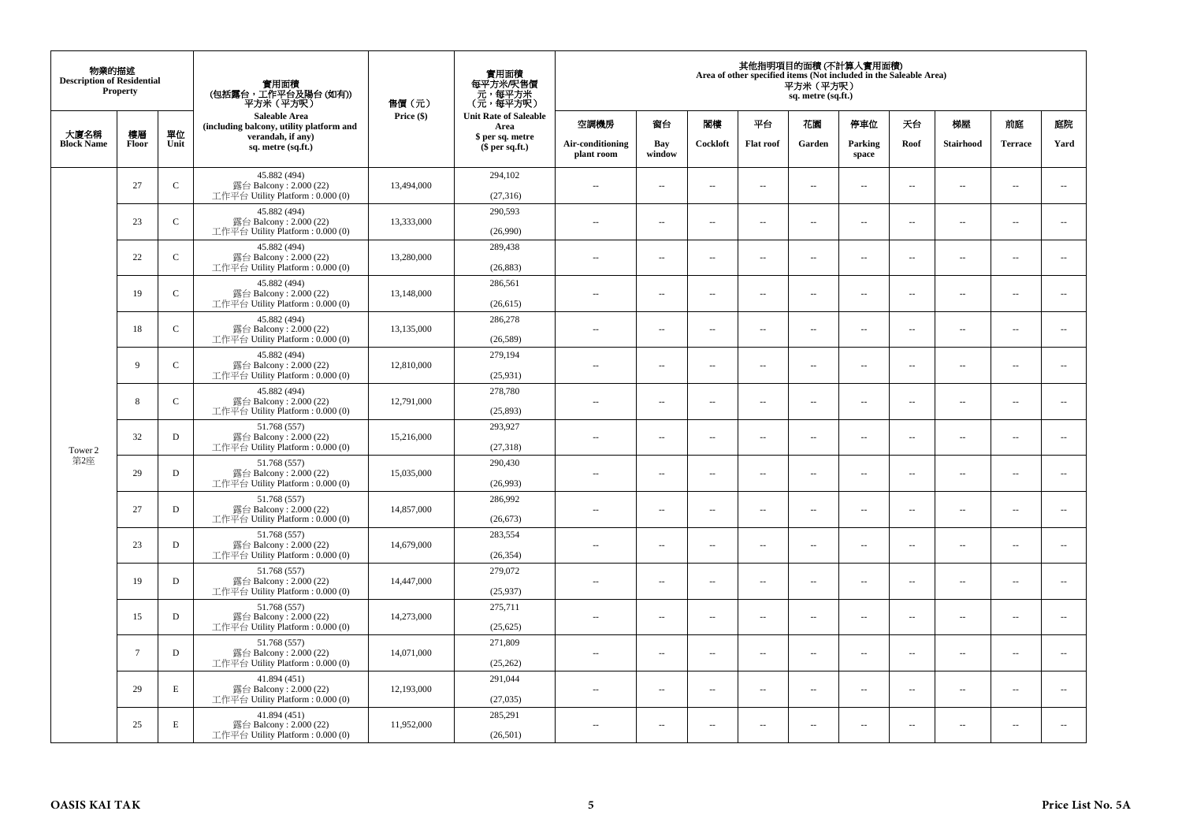| 物業的描述<br><b>Description of Residential</b><br>Property |        |               | 實用面積<br>(包括露台,工作平台及陽台(如有))<br>平方米(平方呎)                                       | 售價(元)      | 實用面積<br>每平方米/呎售價<br>- 元, 每平方米<br>(元, 每平方呎) | 其他指明項目的面積 (不計算入實用面積)<br>Area of other specified items (Not included in the Saleable Area)<br>平方米 (平方呎)<br>sq. metre (sq.ft.) |                          |                          |                          |                          |                          |                          |                          |                          |                          |
|--------------------------------------------------------|--------|---------------|------------------------------------------------------------------------------|------------|--------------------------------------------|------------------------------------------------------------------------------------------------------------------------------|--------------------------|--------------------------|--------------------------|--------------------------|--------------------------|--------------------------|--------------------------|--------------------------|--------------------------|
| 大廈名稱                                                   | 樓層     | 單位            | Saleable Area<br>(including balcony, utility platform and                    | Price (\$) | <b>Unit Rate of Saleable</b><br>Area       | 空調機房                                                                                                                         | 窗台                       | 閣樓                       | 平台                       | 花園                       | 停車位                      | 天台                       | 梯屋                       | 前庭                       | 庭院                       |
| <b>Block Name</b>                                      | Floor  | Unit          | verandah, if any)<br>sq. metre (sq.ft.)                                      |            | \$ per sq. metre<br>\$per sq.ft.)          | Air-conditioning<br>plant room                                                                                               | Bay<br>window            | Cockloft                 | <b>Flat roof</b>         | Garden                   | Parking<br>space         | Roof                     | <b>Stairhood</b>         | <b>Terrace</b>           | Yard                     |
|                                                        | 27     | $\mathbf C$   | 45.882 (494)<br>露台 Balcony: 2.000 (22)<br>工作平台 Utility Platform : 0.000 (0)  | 13,494,000 | 294,102<br>(27, 316)                       | $\sim$ $\sim$                                                                                                                | μ.                       | $\sim$                   | $\sim$                   | $\ldots$                 | $\sim$                   | $\overline{\phantom{a}}$ | $\overline{\phantom{a}}$ | $\bar{a}$                | $\overline{\phantom{a}}$ |
|                                                        | 23     | ${\bf C}$     | 45.882 (494)<br>露台 Balcony: 2.000 (22)<br>工作平台 Utility Platform : 0.000 (0)  | 13,333,000 | 290,593<br>(26,990)                        | $\sim$                                                                                                                       | $\overline{a}$           | $\sim$                   | $\sim$                   | $\sim$                   | $\sim$                   | $\sim$                   | $\sim$                   | $\sim$                   | $\sim$                   |
|                                                        | 22     | $\mathbf C$   | 45.882 (494)<br>露台 Balcony: 2.000 (22)<br>工作平台 Utility Platform : 0.000 (0)  | 13,280,000 | 289,438<br>(26, 883)                       | $\overline{a}$                                                                                                               | μ.                       | $\overline{\phantom{a}}$ | $\sim$                   | $\overline{\phantom{a}}$ | $\sim$                   | $\overline{\phantom{a}}$ | $\overline{\phantom{a}}$ | $\sim$                   | $\overline{\phantom{a}}$ |
|                                                        | 19     | $\mathcal{C}$ | 45.882 (494)<br>露台 Balcony: 2.000 (22)<br>工作平台 Utility Platform : 0.000 (0)  | 13,148,000 | 286,561<br>(26, 615)                       | $\sim$                                                                                                                       | $\sim$                   | $\sim$                   | $\sim$                   | $\overline{a}$           | $\sim$                   | $\sim$                   | $\overline{\phantom{a}}$ | $\sim$                   | $\sim$                   |
|                                                        | 18     | $\mathbf C$   | 45.882 (494)<br>露台 Balcony: 2.000 (22)<br>工作平台 Utility Platform: 0.000 (0)   | 13,135,000 | 286,278<br>(26, 589)                       | Ξ.                                                                                                                           | --                       | $\overline{\phantom{a}}$ | $\overline{\phantom{a}}$ | --                       | $\ddotsc$                | $\overline{\phantom{a}}$ | $\cdots$                 | $\ddotsc$                | $\overline{\phantom{a}}$ |
|                                                        | 9      | $\mathbf C$   | 45.882 (494)<br>露台 Balcony: 2.000 (22)<br>工作平台 Utility Platform : 0.000 (0)  | 12,810,000 | 279.194<br>(25,931)                        | $\sim$                                                                                                                       | $\overline{a}$           | $\sim$                   | $\sim$                   | $\sim$                   | $\sim$                   | $\sim$                   | $\overline{\phantom{a}}$ | $\overline{\phantom{a}}$ | $\sim$                   |
|                                                        | 8      | $\mathbf C$   | 45.882 (494)<br>露台 Balcony: 2.000 (22)<br>工作平台 Utility Platform : 0.000 (0)  | 12,791,000 | 278,780<br>(25, 893)                       | 44                                                                                                                           | μ.                       | $\sim$                   | $\sim$                   | μ.                       | $\sim$                   | $\overline{\phantom{a}}$ | $\overline{\phantom{a}}$ | $\bar{a}$                | $\overline{\phantom{a}}$ |
| Tower 2                                                | 32     | $\mathbf D$   | 51.768 (557)<br>露台 Balcony: 2.000 (22)<br>工作平台 Utility Platform: 0.000 (0)   | 15,216,000 | 293,927<br>(27, 318)                       | $\sim$ $\sim$                                                                                                                | $\overline{a}$           | $\sim$                   | $\sim$                   | $\overline{a}$           | $\sim$                   | $\sim$                   | $\sim$                   | $\sim$                   | $\overline{\phantom{a}}$ |
| 第2座                                                    | 29     | D             | 51.768 (557)<br>露台 Balcony: 2.000 (22)<br>工作平台 Utility Platform : 0.000 (0)  | 15,035,000 | 290,430<br>(26,993)                        | 44                                                                                                                           | μ.                       | $\sim$                   | $\sim$                   | μ.                       | $\sim$                   | $\sim$                   | $\overline{\phantom{a}}$ | $\bar{a}$                | $\sim$                   |
|                                                        | 27     | D             | 51.768 (557)<br>露台 Balcony: 2.000 (22)<br>工作平台 Utility Platform : 0.000 (0)  | 14,857,000 | 286,992<br>(26, 673)                       | $\sim$                                                                                                                       | $\overline{a}$           | $\sim$                   | $\sim$                   | $\overline{a}$           | $\sim$                   | $\sim$                   | $\overline{\phantom{a}}$ | $\sim$                   | $\sim$                   |
|                                                        | 23     | $\mathbf D$   | 51.768 (557)<br>露台 Balcony: 2.000 (22)<br>工作平台 Utility Platform : 0.000 (0)  | 14,679,000 | 283,554<br>(26, 354)                       | ٠.                                                                                                                           | --                       | $\overline{\phantom{a}}$ | $\overline{\phantom{a}}$ | --                       | $\overline{\phantom{a}}$ | $\overline{\phantom{a}}$ | $\overline{\phantom{a}}$ | $\overline{\phantom{a}}$ | $\overline{\phantom{a}}$ |
|                                                        | 19     | D             | 51.768 (557)<br>露台 Balcony: 2.000 (22)<br>工作平台 Utility Platform : 0.000 (0)  | 14,447,000 | 279,072<br>(25,937)                        | $\overline{a}$                                                                                                               | $\overline{\phantom{a}}$ | $\sim$                   | $\sim$                   | $\overline{\phantom{a}}$ | $\sim$                   | $\overline{\phantom{a}}$ | $\overline{a}$           | $\sim$                   | $\sim$                   |
|                                                        | 15     | D             | 51.768 (557)<br>露台 Balcony: 2.000 (22)<br>工作平台 Utility Platform : $0.000(0)$ | 14,273,000 | 275,711<br>(25, 625)                       | ÷.                                                                                                                           | μ.                       | $\sim$                   | $\sim$                   | Ξ.                       | $\sim$                   | $\overline{\phantom{a}}$ | $\overline{\phantom{a}}$ | $\sim$                   | $\sim$                   |
|                                                        | $\tau$ | $\mathbf D$   | 51.768 (557)<br>露台 Balcony: 2.000 (22)<br>工作平台 Utility Platform: 0.000 (0)   | 14,071,000 | 271,809<br>(25, 262)                       | $\sim$ $-$                                                                                                                   | $\overline{\phantom{a}}$ | $\sim$                   | $\overline{\phantom{a}}$ | $\overline{\phantom{a}}$ | $\sim$                   | $\overline{\phantom{a}}$ | $\overline{\phantom{a}}$ | $\overline{\phantom{a}}$ | $\sim$                   |
|                                                        | 29     | E             | 41.894 (451)<br>露台 Balcony: 2.000 (22)<br>工作平台 Utility Platform : 0.000 (0)  | 12,193,000 | 291,044<br>(27, 035)                       | $\overline{a}$                                                                                                               | μ.                       | $\sim$                   | $\sim$                   | $\overline{\phantom{a}}$ | $\sim$                   | $\sim$                   | $\sim$                   | $\bar{a}$                | $\sim$                   |
|                                                        | 25     | E             | 41.894 (451)<br>露台 Balcony: 2.000 (22)<br>工作平台 Utility Platform : 0.000 (0)  | 11,952,000 | 285,291<br>(26,501)                        | $\sim$ $\sim$                                                                                                                | $\sim$                   | $\sim$                   | $\sim$                   | $\sim$                   | $\sim$                   | $\sim$                   | $\sim$                   | $\sim$                   | $\sim$                   |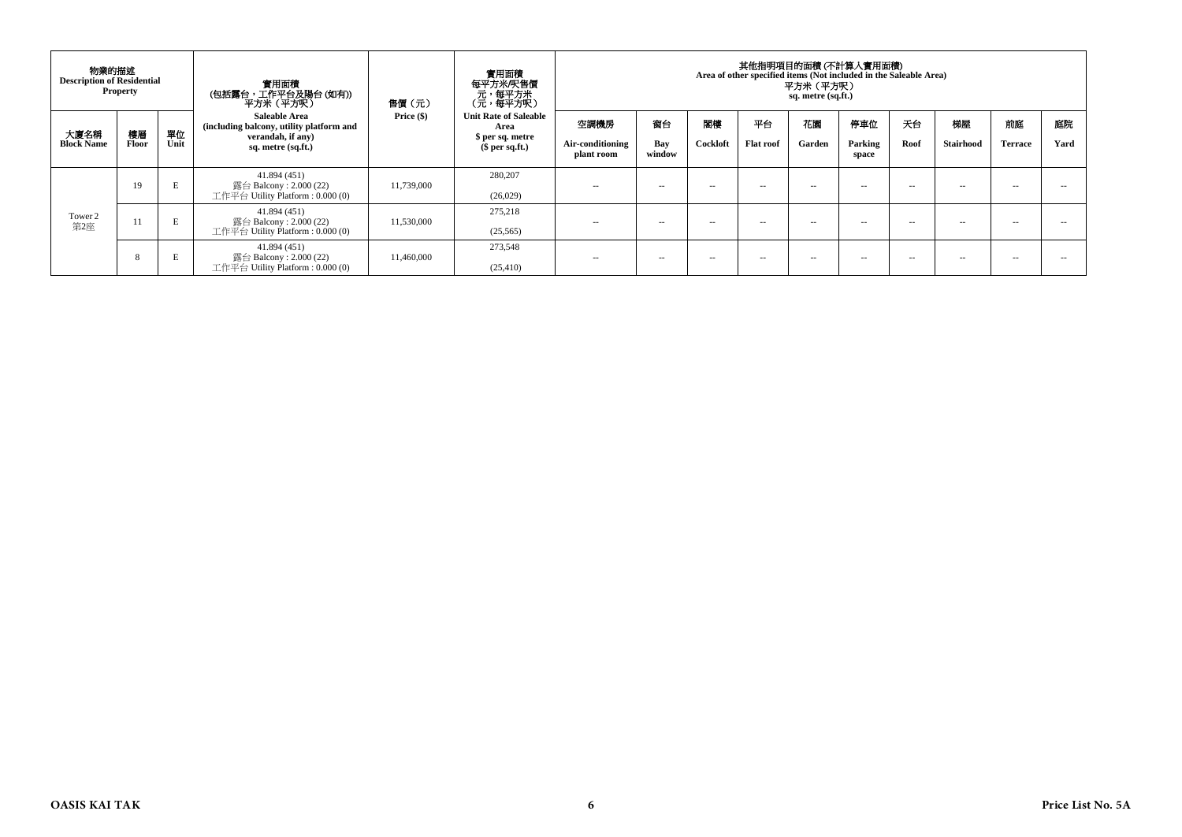| 物業的描述<br><b>Description of Residential</b><br><b>Property</b> |             |            | 實用面積<br>(包括露台,工作平台及陽台 (如有))<br>平方米(平方呎)                                                              | 售價(元)        | 實用面積<br>每平方米/呎售價<br>- 元<br>(元,每平方米)<br>(元,每平方呎)                           | 其他指明項目的面積 (不計算入實用面積)<br>Area of other specified items (Not included in the Saleable Area)<br>平方米(平方呎)<br>sq. metre (sq.ft.) |                     |                |                        |               |                         |            |                        |                      |            |
|---------------------------------------------------------------|-------------|------------|------------------------------------------------------------------------------------------------------|--------------|---------------------------------------------------------------------------|-----------------------------------------------------------------------------------------------------------------------------|---------------------|----------------|------------------------|---------------|-------------------------|------------|------------------------|----------------------|------------|
| 大廈名稱<br><b>Block Name</b>                                     | 樓層<br>Floor | 單位<br>Unit | Saleable Area<br>(including balcony, utility platform and<br>verandah, if any)<br>sq. metre (sq.ft.) | Price $(\$)$ | <b>Unit Rate of Saleable</b><br>Area<br>\$ per sq. metre<br>\$per sq.ft.) | 空調機房<br>Air-conditioning<br>plant room                                                                                      | 窗台<br>Bay<br>window | 閣樓<br>Cockloft | 平台<br><b>Flat roof</b> | 花園<br>Garden  | 停車位<br>Parking<br>space | 天台<br>Roof | 梯屋<br><b>Stairhood</b> | 前庭<br><b>Terrace</b> | 庭院<br>Yard |
|                                                               | 19          | E          | 41.894 (451)<br>露台 Balcony : 2.000 (22)<br>工作平台 Utility Platform : $0.000(0)$                        | 11,739,000   | 280,207<br>(26,029)                                                       | --                                                                                                                          | $\sim$ $\sim$       | $\sim$ $\sim$  | -                      | $\sim$ $\sim$ | -                       | $-$        | $- -$                  | -                    | - -        |
| Tower 2<br>第2座                                                | 11          | E          | 41.894 (451)<br>露台 Balcony : 2.000 (22)<br>工作平台 Utility Platform : $0.000(0)$                        | 11,530,000   | 275,218<br>(25,565)                                                       | $\sim$                                                                                                                      | $\sim$ $\sim$       | $\sim$ $\sim$  | -                      | $\sim$ $\sim$ | -                       | $-$        | $- -$                  | $\sim$               | - -        |
|                                                               | 8           | в          | 41.894 (451)<br>露台 Balcony : 2.000 (22)<br>工作平台 Utility Platform : $0.000(0)$                        | 11,460,000   | 273,548<br>(25, 410)                                                      | $\sim$                                                                                                                      | $\sim$              | $\sim$ $\sim$  | -                      | $\sim$ $\sim$ | -                       | $-$        | $- -$                  | -                    |            |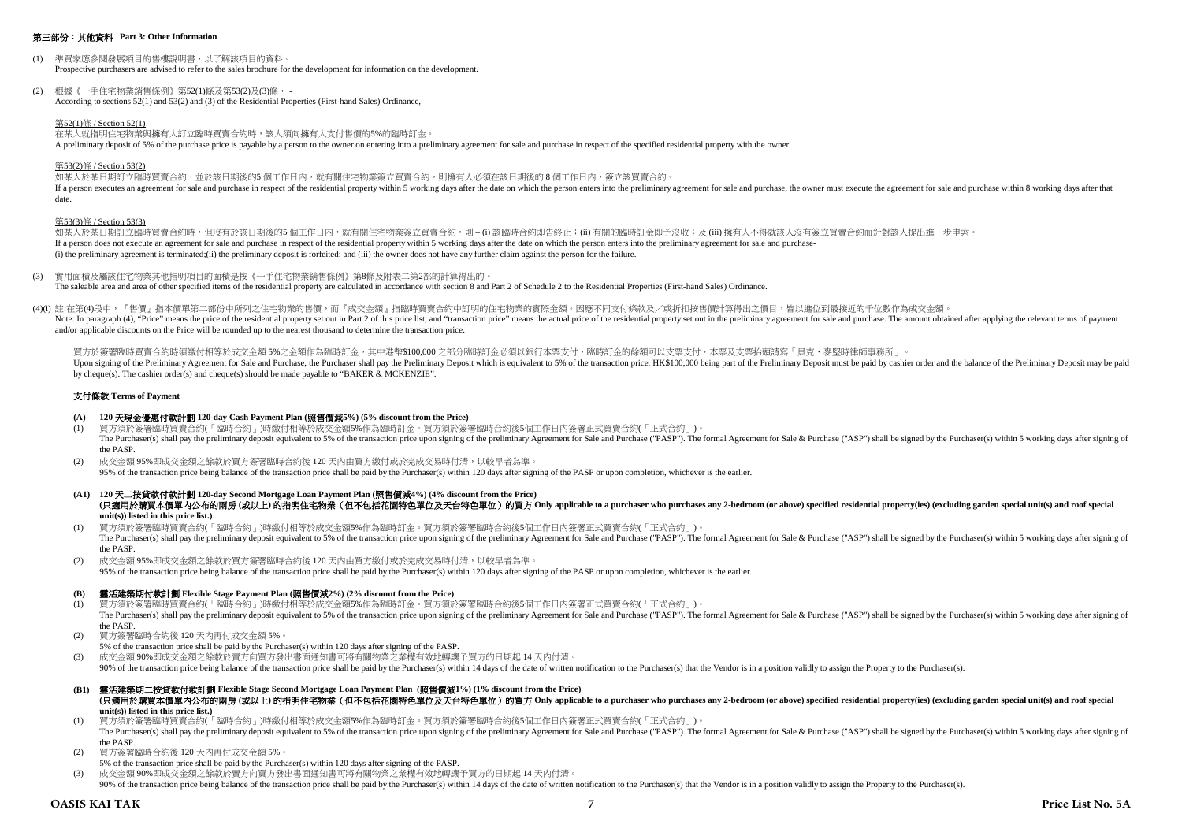#### 第三部份:其他資料 **Part 3: Other Information**

- (1) 準買家應參閱發展項目的售樓說明書,以了解該項目的資料。 Prospective purchasers are advised to refer to the sales brochure for the development for information on the development.
- (2) 根據《一手住宅物業銷售條例》第52(1)條及第53(2)及(3)條, According to sections 52(1) and 53(2) and (3) of the Residential Properties (First-hand Sales) Ordinance, –

#### 第52(1)條 / Section 52(1)

在某人就指明住宅物業與擁有人訂立臨時買賣合約時,該人須向擁有人支付售價的5%的臨時訂金。 A preliminary deposit of 5% of the purchase price is payable by a person to the owner on entering into a preliminary agreement for sale and purchase in respect of the specified residential property with the owner.

#### 第53(2)條 / Section 53(2)

如某人於某日期訂立臨時買賣合約,並於該日期後的5 個工作日內,就有關住宅物業簽立買賣合約,則擁有人必須在該日期後的 8 個工作日內,簽立該買賣合約。 If a person executes an agreement for sale and purchase in respect of the residential property within 5 working days after the date on which the person enters into the neuliminary agreement for sale and purchase, the owner date.

#### 第53(3)條 / Section 53(3)

如某人於某日期訂立臨時買賣合約時,但沒有於該日期後的5 個工作日內,就有關住宅物業簽立買賣合約,則 – (i) 該臨時合約即告終止;(ii) 有關的臨時訂金即予沒收;及 (iii) 擁有人不得就該人沒有簽立買賣合約而針對該人提出進一步申索。 If a person does not execute an agreement for sale and purchase in respect of the residential property within 5 working days after the date on which the person enters into the preliminary agreement for sale and purchase-(i) the preliminary agreement is terminated;(ii) the preliminary deposit is forfeited; and (iii) the owner does not have any further claim against the person for the failure.

- (3) 實用面積及屬該住宅物業其他指明項目的面積是按《一手住宅物業銷售條例》第8條及附表二第2部的計算得出的。 The saleable area and area of other specified items of the residential property are calculated in accordance with section 8 and Part 2 of Schedule 2 to the Residential Properties (First-hand Sales) Ordinance.
- (4)(i) 註:在第(4)段中,『售價』指本價單第二部份中所列之住宅物業的售價,而『成交金額』指臨時買賣合約中訂明的住宅物業的實際金額。因應不同支付條款及/或折扣按售價計算得出之價目,皆以進位到最接近的千位數作為成交金額。 Note: In paragraph (4), "Price" means the price of the residential property set out in Part 2 of this price list, and "transaction price" means the actual price of the residential property set out in the preliminary agreem and/or applicable discounts on the Price will be rounded up to the nearest thousand to determine the transaction price.

買方於簽署臨時買賣合約時須繳付相等於成交金額 5%之金額作為臨時訂金,其中港幣\$100,000 之部分臨時訂金必須以銀行本票支付,臨時訂金的餘額可以支票支付,本票及支票抬頭請寫「貝克·麥堅時律師事務所」。 Upon signing of the Preliminary Agreement for Sale and Purchase, the Purchaser shall pay the Preliminary Deposit which is equivalent to 5% of the transaction price. HK\$100,000 being part of the Preliminary Deposit must be by cheque(s). The cashier order(s) and cheque(s) should be made payable to "BAKER & MCKENZIE".

#### 支付條款 **Terms of Payment**

## **(A) 120** 天現金優惠付款計劃 **120-day Cash Payment Plan (**照售價減**5%) (5% discount from the Price)**

- (1) 買方須於簽署臨時買賣合約(「臨時合約」)時繳付相等於成交金額5%作為臨時訂金。買方須於簽署臨時合約後5個工作日內簽署正式買賣合約(「正式合約」)。 The Purchaser(s) shall pay the preliminary deposit equivalent to 5% of the transaction price upon signing of the preliminary Agreement for Sale and Purchase ("PASP"). The formal Agreement for Sale & Purchase ("ASP") shall the PASP.
- (2) 成交金額 95%即成交金額之餘款於買方簽署臨時合約後 120 天內由買方繳付或於完成交易時付清,以較早者為準。 95% of the transaction price being balance of the transaction price shall be paid by the Purchaser(s) within 120 days after signing of the PASP or upon completion, whichever is the earlier.
- **(A1) 120** 天二按貸款付款計劃 **120-day Second Mortgage Loan Payment Plan (**照售價減**4%) (4% discount from the Price)** (只適用於講買本價單内公布的兩房(或以上)的指明住宅物業 (但不包括花園特色單位及天台特色單位) 的買方 Only applicable to a purchaser who purchases any 2-bedroom (or above) specified residential property(ies) (excluding garden special unit(s) and roof special **unit(s)) listed in this price list.)**
- (1) 買方須於簽署臨時買賣合約(「臨時合約」)時繳付相等於成交金額5%作為臨時訂金。買方須於簽署臨時合約後5個工作日內簽署正式買賣合約(「正式合約」)。 The Purchaser(s) shall pay the preliminary deposit equivalent to 5% of the transaction price upon signing of the preliminary Agreement for Sale and Purchase ("PASP"). The formal Agreement for Sale & Purchaser(s) shall be s the PASP.
- (2) 成交金額 95%即成交金額之餘款於買方簽署臨時合約後 120 天內由買方繳付或於完成交易時付清,以較早者為準。 95% of the transaction price being balance of the transaction price shall be paid by the Purchaser(s) within 120 days after signing of the PASP or upon completion, whichever is the earlier.

#### **(B)** 靈活建築期付款計劃 **Flexible Stage Payment Plan (**照售價減**2%) (2% discount from the Price)**

- (1) 買方須於簽署臨時買賣合約(「臨時合約」)時繳付相等於成交金額5%作為臨時訂金。買方須於簽署臨時合約後5個工作日內簽署正式買賣合約(「正式合約」)。 The Purchaser(s) shall pay the preliminary deposit equivalent to 5% of the transaction price upon signing of the preliminary Agreement for Sale and Purchase ("PASP"). The formal Agreement for Sale & Purchase ("ASP") shall the PASP.
- (2) 買方簽署臨時合約後 120 天內再付成交金額 5%。
- 5% of the transaction price shall be paid by the Purchaser(s) within 120 days after signing of the PASP.
- (3) 成交金額 90%即成交金額之餘款於賣方向買方發出書面通知書可將有關物業之業權有效地轉讓予買方的日期起 14 天內付清。

90% of the transaction price being balance of the transaction price shall be paid by the Purchaser(s) within 14 days of the date of written notification to the Purchaser(s) that the Vendor is in a position validly to assig

- **(B1)** 靈活建築期二按貸款付款計劃 **Flexible Stage Second Mortgage Loan Payment Plan (**照售價減**1%) (1% discount from the Price)** (只適用於購買本價單內公布的兩房(或以上)的指明住宅物業 (但不包括花園特色單位及天台特色單位) 的買方 Only applicable to a purchaser who purchases any 2-bedroom (or above) specified residential property(ies) (excluding garden special unit(s) and roof special **unit(s)) listed in this price list.)**
- (1) 買方須於簽署臨時買賣合約(「臨時合約」)時繳付相等於成交金額5%作為臨時訂金。買方須於簽署臨時合約後5個工作日內簽署正式買賣合約(「正式合約」)。 The Purchaser(s) shall pay the preliminary deposit equivalent to 5% of the transaction price upon signing of the preliminary Agreement for Sale and Purchase ("PASP"). The formal Agreement for Sale & Purchase ("ASP") shall the PASP.
- (2) 買方簽署臨時合約後 120 天內再付成交金額 5%。
- 5% of the transaction price shall be paid by the Purchaser(s) within 120 days after signing of the PASP.
- (3) 成交金額 90%即成交金額之餘款於賣方向買方發出書面通知書可將有關物業之業權有效地轉讓予買方的日期起 14 天內付清。 90% of the transaction price being balance of the transaction price shall be paid by the Purchaser(s) within 14 days of the date of written notification to the Purchaser(s) that the Vendor is in a position validly to assig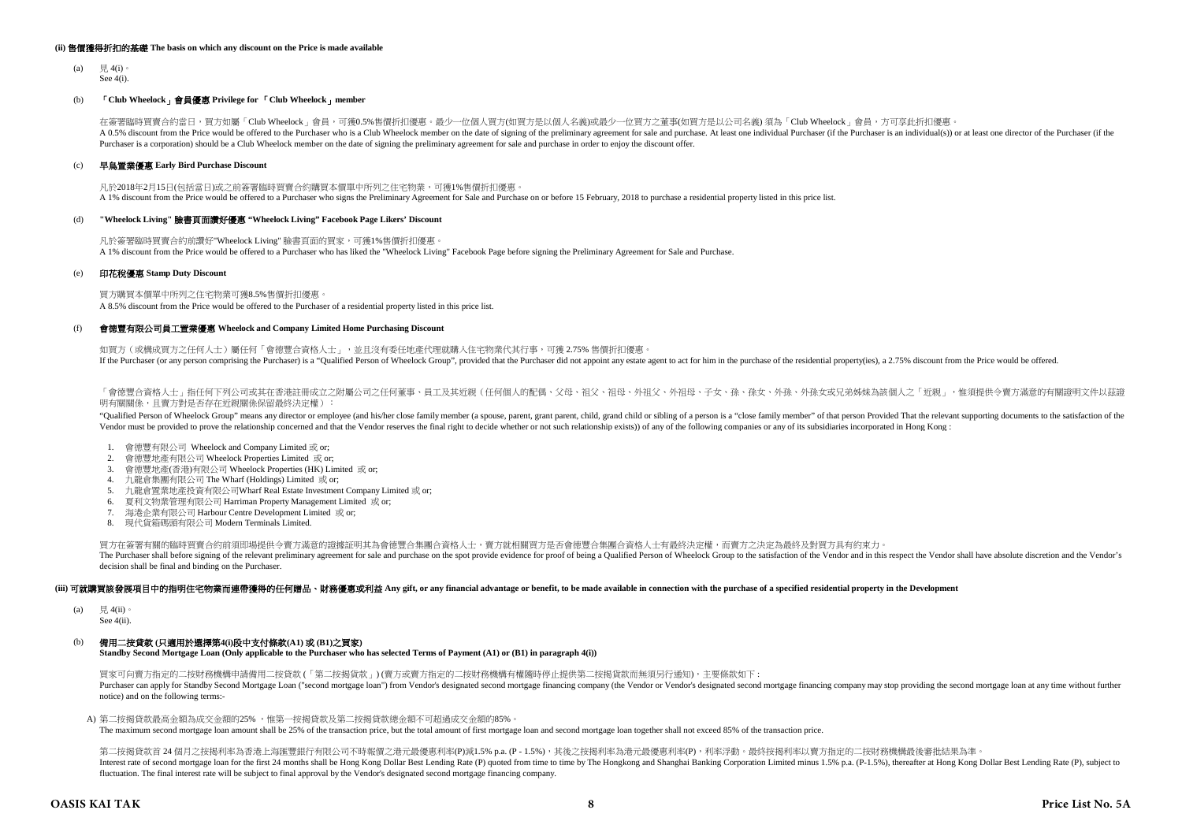#### **(ii)** 售價獲得折扣的基礎 **The basis on which any discount on the Price is made available**

 $(a)$   $\boxplus$  4(i) See 4(i).

## (b) 「**Club Wheelock**」會員優惠 **Privilege for** 「**Club Wheelock**」**member**

在簽署臨時買賣合約當日,買方如屬「Club Wheelock」會員,可獲0.5%售價折扣優惠。最少一位個人買方(如買方是以個人名義)或最少一位買方之董事(如買方是以公司名義) 須為「Club Wheelock」會員,方可享此折扣優惠。 A 0.5% discount from the Price would be offered to the Purchaser who is a Club Wheelock member on the date of signing of the preliminary agreement for sale and purchase. At least one individual Purchaser (if the Purchaser Purchaser is a corporation) should be a Club Wheelock member on the date of signing the preliminary agreement for sale and purchase in order to enjoy the discount offer.

#### (c) 早鳥置業優惠 **Early Bird Purchase Discount**

凡於2018年2月15日(包括當日)或之前簽署臨時買賣合約購買本價單中所列之住宅物業,可獲1%售價折扣優惠。 A 1% discount from the Price would be offered to a Purchaser who signs the Preliminary Agreement for Sale and Purchase on or before 15 February, 2018 to purchase a residential property listed in this price list.

#### (d) **"Wheelock Living"** 臉書頁面讚好優惠 **"Wheelock Living" Facebook Page Likers' Discount**

凡於簽署臨時買賣合約前讚好"Wheelock Living" 臉書頁面的買家,可獲1%售價折扣優惠。 A 1% discount from the Price would be offered to a Purchaser who has liked the "Wheelock Living" Facebook Page before signing the Preliminary Agreement for Sale and Purchase.

#### (e) 印花稅優惠 **Stamp Duty Discount**

買方購買本價單中所列之住宅物業可獲8.5%售價折扣優惠。 A 8.5% discount from the Price would be offered to the Purchaser of a residential property listed in this price list.

#### $(f)$ 會德豐有限公司員工置業優惠 **Wheelock and Company Limited Home Purchasing Discount**

如買方 (或構成買方之任何人士)屬任何「會德豐合資格人士」, 並且沒有委任地產代理就購入住宅物業代其行事,可獲 2.75% 售價折扣優惠。 If the Purchaser (or any person comprising the Purchaser) is a "Qualified Person of Wheelock Group", provided that the Purchaser did not appoint any estate agent to act for him in the purchase of the residential property(i

「會德豐合資格人士」指任何下列公司或其在香港註冊成立之附屬公司之任何董事、員工及其近親(任何個人的配偶、父母、祖父、祖母、外祖父、外祖母、子女、孫、孫、外,外孫女或兄弟姊妹為該個人之「近親」,惟須提供令賣方滿意的有關證明文件以茲證 明有關關係,且賣方對是否存在近親關係保留最終決定權):

"Qualified Person of Wheelock Group" means any director or employee (and his/her close family member (a spouse, parent, grant parent, child, grand child or sibling of a person is a "close family member" of that person Prov Vendor must be provided to prove the relationship concerned and that the Vendor reserves the final right to decide whether or not such relationship exists)) of any of the following companies or any of its subsidiaries inco

- 1. 會德豐有限公司 Wheelock and Company Limited 或 or;
- 2. 會德豐地產有限公司 Wheelock Properties Limited 或 or;
- 3. 會德豐地產(香港)有限公司 Wheelock Properties (HK) Limited 或 or;
- 4. 九龍倉集團有限公司 The Wharf (Holdings) Limited 或 or;
- 5. 九龍倉置業地產投資有限公司Wharf Real Estate Investment Company Limited 或 or;
- 6. 夏利文物業管理有限公司 Harriman Property Management Limited 或 or;
- 7. 海港企業有限公司 Harbour Centre Development Limited 或 or;
- 8. 現代貨箱碼頭有限公司 Modern Terminals Limited.

買方在簽署有關的臨時買賣合約前須即場提供令賣方滿意的證據証明其為會德豐合集團合資格人士,賣方就相關買方是否會德豐合集團合資格人士有最終決定權,而賣方之決定為最終及對買方具有約束力。 The Purchaser shall before signing of the relevant preliminary agreement for sale and purchase on the spot provide evidence for proof of being a Qualified Person of Wheelock Group to the satisfaction of the Vendor and in t decision shall be final and binding on the Purchaser.

#### (iii) 可就講買該發展項目中的指明住宅物業而連帶獲得的任何贈品、財務優惠或利益 Any gift, or any financial advantage or benefit, to be made available in connection with the purchase of a specified residential property in the Development

(a)  $\quad \equiv 4$ (ii)

See 4(ii).

#### (b) 備用二按貸款 **(**只適用於選擇第**4(i)**段中支付條款**(A1)** 或 **(B1)**之買家**)**

**Standby Second Mortgage Loan (Only applicable to the Purchaser who has selected Terms of Payment (A1) or (B1) in paragraph 4(i))**

買家可向賣方指定的二按財務機構申請備用二按貸款 (「第二按揭貨款」) (賣方或賣方指定的二按財務機構有權隨時停止提供第二按揭貨款而無須另行通知),主要條款如下 : Purchaser can apply for Standby Second Mortgage Loan ("second mortgage loan") from Vendor's designated second mortgage financing company (the Vendor or Vendor's designated second mortgage financing company may stop providi notice) and on the following terms:-

A) 第二按揭貸款最高金額為成交金額的25% ,惟第一按揭貸款及第二按揭貸款總金額不可超過成交金額的85%。

The maximum second mortgage loan amount shall be 25% of the transaction price, but the total amount of first mortgage loan and second mortgage loan together shall not exceed 85% of the transaction price.

第二按揭貨款首 24 個月之按揭利率為香港上海匯豐銀行有限公司不時報價之港元最優惠利率(P)減1.5% p.a. (P - 1.5%),其後之按揭利率為港元最優惠利率(P),利率浮動。最終按揭利率以賣方指定的二按財務機構最後審批結果為準。 Interest rate of second mortgage loan for the first 24 months shall be Hong Kong Dollar Best Lending Rate (P) quoted from time to time by The Hongkong and Shanghai Banking Corporation Limited minus 1.5% p.a. (P-1.5%), ther fluctuation. The final interest rate will be subject to final approval by the Vendor's designated second mortgage financing company.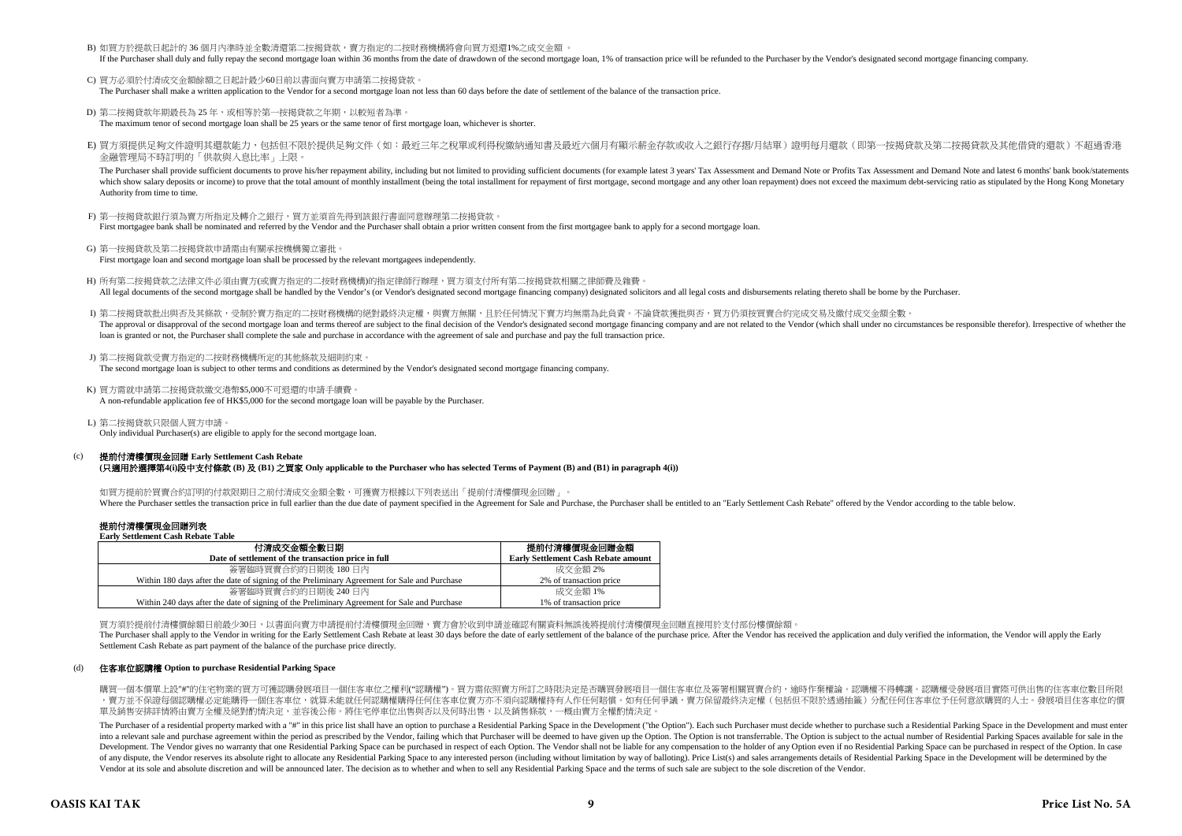B) 如買方於提款日起計的 36 個月內準時並全數清還第二按揭貸款,實方指定的二按財務機構將會向買方退還1%之成交金額 。

If the Burchaser shall duly and fully repay the second mortgage loan within 36 months from the date of drawdown of the second mortgage loan 1% of transaction price will be refunded to the Purchaser that be Vendor's designa

C) 買方必須於付清成交金額餘額之日起計最少60日前以書面向賣方申請第二按揭貸款。

The Purchaser shall make a written application to the Vendor for a second mortgage loan not less than 60 days before the date of settlement of the balance of the transaction price.

- D) 第二按揭貸款年期最長為 25 年, 或相等於第一按揭貸款之年期, 以較短者為準。 The maximum tenor of second mortgage loan shall be 25 years or the same tenor of first mortgage loan, whichever is shorter.
- E) 買方須提供足夠文件證明其還款能力,包括但不限於提供足夠文件(如:最近三年之稅單或利得稅繳納通知書及最近六個月有顯示薪金存款或收入之銀行存摺/月結單)證明每月還款(即第一按揭貸款及第二按揭貸款及其他借貸的還款)不超過香港 金融管理局不時訂明的「供款與入息比率」上限。

The Purchaser shall provide sufficient documents to prove his/her repayment ability, including but not limited to providing sufficient documents (for example latest 3 years' Tax Assessment and Demand Note or Profits Tax As which show salary deposits or income) to prove that the total amount of monthly installment (being the total installment for repayment of first morteage, second mortgage and any other loan repayment) does not exceed the ma Authority from time to time.

- F) 第一按揭貸款銀行須為賣方所指定及轉介之銀行,買方並須首先得到該銀行書面同意辦理第二按揭貸款。 First mortgagee bank shall be nominated and referred by the Vendor and the Purchaser shall obtain a prior written consent from the first mortgagee bank to apply for a second mortgage loan.
- G) 第一按揭貸款及第二按揭貸款申請需由有關承按機構獨立審批。 First mortgage loan and second mortgage loan shall be processed by the relevant mortgagees independently.
- H) 所有第二按揭貸款之法律文件必須由賣方(或賣方指定的二按財務機構)的指定律師行辦理,買方須支付所有第二按揭貸款相關之律師費及雜費。 All legal documents of the second mortgage shall be handled by the Vendor's (or Vendor's designated second mortgage financing company) designated solicitors and all legal costs and disbursements relating thereto shall be b
- I) 第二按揭貸款批出與否及其條款,受制於賣方指定的二按財務機構的絕對最終決定權,與賣方無關,且於任何情況下賣方均無需為此負責。不論貸款獲批與否,買方仍須按買賣合約完成交易及繳付成交金額全數。 The approval or disapproval of the second mortgage loan and terms thereof are subject to the final decision of the Vendor's designated second mortgage financing company and are not related to the Vendor (which shall under loan is granted or not, the Purchaser shall complete the sale and purchase in accordance with the agreement of sale and purchase and pay the full transaction price.
- J) 第二按揭貨款受賣方指定的二按財務機構所定的其他條款及細則約束。 The second mortgage loan is subject to other terms and conditions as determined by the Vendor's designated second mortgage financing company.
- K) 買方需就申請第二按揭貸款繳交港幣\$5,000不可退還的申請手續費。 A non-refundable application fee of HK\$5,000 for the second mortgage loan will be payable by the Purchaser.
- L) 第二按揭貸款只限個人買方申請。 Only individual Purchaser(s) are eligible to apply for the second mortgage loan.

#### $(c)$ 提前付清樓價現金回贈 **Early Settlement Cash Rebate (**只適用於選擇第**4(i)**段中支付條款 **(B)** 及 **(B1)** 之買家 **Only applicable to the Purchaser who has selected Terms of Payment (B) and (B1) in paragraph 4(i))**

如買方提前於買賣合約訂明的付款限期日之前付清成交金額全數,可獲賣方根據以下列表送出「提前付清樓價現金回贈」 Where the Purchaser settles the transaction price in full earlier than the due date of payment specified in the Agreement for Sale and Purchase, the Purchaser shall be entitled to an "Early Settlement Cash Rebate" offered

#### 提前付清樓價現金回贈列表 **Early Settlement Cash Rebate Table**

| 付清成交金額全數日期<br>Date of settlement of the transaction price in full                            | 提前付清樓價現金回贈金額<br><b>Early Settlement Cash Rebate amount</b> |  |  |  |  |  |  |
|----------------------------------------------------------------------------------------------|------------------------------------------------------------|--|--|--|--|--|--|
| 簽署臨時買賣合約的日期後 180日內                                                                           | 成交金額 2%                                                    |  |  |  |  |  |  |
|                                                                                              |                                                            |  |  |  |  |  |  |
| Within 180 days after the date of signing of the Preliminary Agreement for Sale and Purchase | 2% of transaction price                                    |  |  |  |  |  |  |
| 簽署臨時買賣合約的日期後 240 日內                                                                          | 成交金額 1%                                                    |  |  |  |  |  |  |
| Within 240 days after the date of signing of the Preliminary Agreement for Sale and Purchase | 1% of transaction price                                    |  |  |  |  |  |  |

買方須於提前付清樓價餘額日前最少30日,以書面向賣方申請提前付清樓價現金回贈,賣方會於收到申請並確認有關資料無誤後將提前付清樓價現金回贈直接用於支付部份樓價餘額。

The Purchaser shall apply to the Vendor in writing for the Early Settlement Cash Rebate at least 30 days before the date of early settlement of the balance of the purchase price. After the Vendor has received the applicati Settlement Cash Rebate as part payment of the balance of the purchase price directly.

### (d) 住客車位認購權 **Option to purchase Residential Parking Space**

購買一個本價單上設"#"的住宅物業的買方可獲認購發展項目一個住客車位之權利("認購權")。買方需依照賣方所訂之時限決定是否購買發展項目一個住客車位及簽署相關買賣合約,逾時作棄權論。認購權不得轉讓。認購權受發展項目實際可供出售的住客車位數目所限 ,賣方並不保證每個認購權必定能購得一個住客車位,就算未能就任何認購權購得任何住客車位賣方亦不須向認購權持有人作任何賠償。如有任何爭議,賣方保留最終決定權(包括但不限於透過抽籤)分配任何住客車位予任何意欲購買的人士。發展項目住客車位的價 軍及銷售安排詳情將由賣方全權及絕對酌情決定,並容後公佈。將住宅停車位出售與否以及何時出售,以及銷售條款,一概由賣方全權酌情決定。

The Purchaser of a residential property marked with a "#" in this price list shall have an option to purchase a Residential Parking Space in the Development ("the Option"). Each such Purchaser must decide whether to purcha into a relevant sale and purchase agreement within the period as prescribed by the Vendor, failing which that Purchaser will be deemed to have given up the Option. The Option is not transferrable. The Option is subject to Development. The Vendor gives no warranty that one Residential Parking Space can be purchased in respect of each Dption. The Vendor shall not be liable for any compensation to the holder of any Option even if no Residentia of any dispute, the Vendor reserves its absolute right to allocate any Residential Parking Space to any interested person (including without limitation by way of balloting). Price List(s) and sales arrangements details of Vendor at its sole and absolute discretion and will be announced later. The decision as to whether and when to sell any Residential Parking Space and the terms of such sale are subject to the sole discretion of the Vendor.